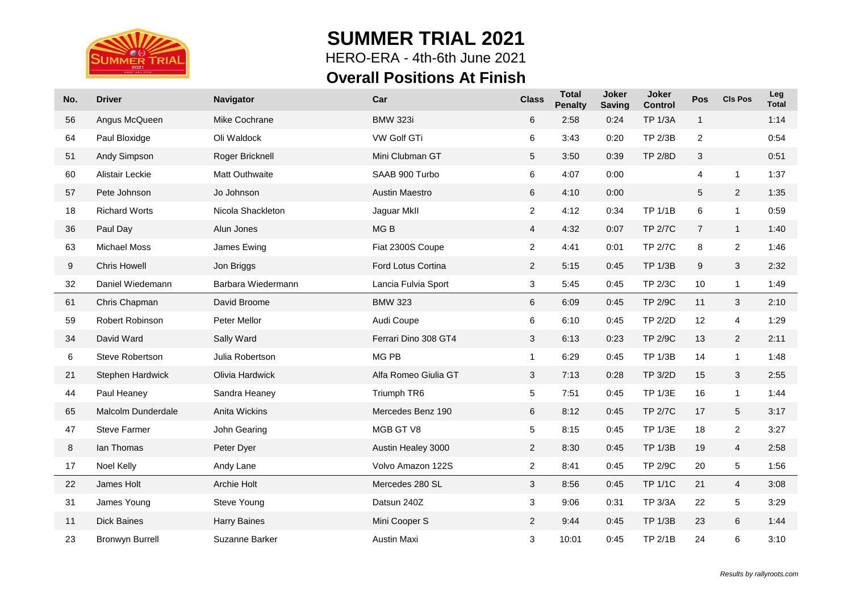

## **SUMMER TRIAL 2021**

**Overall Positions At Finish** HERO-ERA - 4th-6th June 2021

| No. | <b>Driver</b>             | <b>Navigator</b>    | Car                   | <b>Class</b>   | <b>Total</b><br><b>Penalty</b> | Joker<br><b>Saving</b> | Joker<br><b>Control</b> | Pos                     | <b>CIs Pos</b> | Leg<br><b>Total</b> |
|-----|---------------------------|---------------------|-----------------------|----------------|--------------------------------|------------------------|-------------------------|-------------------------|----------------|---------------------|
| 56  | Angus McQueen             | Mike Cochrane       | <b>BMW 323i</b>       | 6              | 2:58                           | 0:24                   | <b>TP 1/3A</b>          | $\mathbf{1}$            |                | 1:14                |
| 64  | Paul Bloxidge             | Oli Waldock         | VW Golf GTi           | 6              | 3:43                           | 0:20                   | <b>TP 2/3B</b>          | $\sqrt{2}$              |                | 0:54                |
| 51  | Andy Simpson              | Roger Bricknell     | Mini Clubman GT       | 5              | 3:50                           | 0:39                   | <b>TP 2/8D</b>          | $\sqrt{3}$              |                | 0:51                |
| 60  | Alistair Leckie           | Matt Outhwaite      | SAAB 900 Turbo        | 6              | 4:07                           | 0:00                   |                         | $\overline{\mathbf{4}}$ | $\mathbf{1}$   | 1:37                |
| 57  | Pete Johnson              | Jo Johnson          | <b>Austin Maestro</b> | 6              | 4:10                           | 0:00                   |                         | 5                       | $\overline{2}$ | 1:35                |
| 18  | <b>Richard Worts</b>      | Nicola Shackleton   | Jaguar MkII           | $\overline{a}$ | 4:12                           | 0:34                   | <b>TP 1/1B</b>          | $\,6$                   | $\mathbf{1}$   | 0:59                |
| 36  | Paul Day                  | Alun Jones          | MG <sub>B</sub>       | $\overline{4}$ | 4:32                           | 0:07                   | <b>TP 2/7C</b>          | $\overline{7}$          | $\mathbf{1}$   | 1:40                |
| 63  | <b>Michael Moss</b>       | James Ewing         | Fiat 2300S Coupe      | $\overline{a}$ | 4:41                           | 0:01                   | <b>TP 2/7C</b>          | $\,8\,$                 | $\overline{2}$ | 1:46                |
| 9   | <b>Chris Howell</b>       | Jon Briggs          | Ford Lotus Cortina    | $\overline{2}$ | 5:15                           | 0:45                   | <b>TP 1/3B</b>          | 9                       | 3              | 2:32                |
| 32  | Daniel Wiedemann          | Barbara Wiedermann  | Lancia Fulvia Sport   | 3              | 5:45                           | 0:45                   | <b>TP 2/3C</b>          | 10                      | $\mathbf{1}$   | 1:49                |
| 61  | Chris Chapman             | David Broome        | <b>BMW 323</b>        | 6              | 6:09                           | 0:45                   | <b>TP 2/9C</b>          | 11                      | $\mathbf{3}$   | 2:10                |
| 59  | <b>Robert Robinson</b>    | Peter Mellor        | Audi Coupe            | 6              | 6:10                           | 0:45                   | <b>TP 2/2D</b>          | 12                      | $\overline{4}$ | 1:29                |
| 34  | David Ward                | Sally Ward          | Ferrari Dino 308 GT4  | $\mathbf{3}$   | 6:13                           | 0:23                   | <b>TP 2/9C</b>          | 13                      | 2              | 2:11                |
| 6   | Steve Robertson           | Julia Robertson     | MG PB                 | $\mathbf{1}$   | 6:29                           | 0:45                   | <b>TP 1/3B</b>          | 14                      | $\mathbf{1}$   | 1:48                |
| 21  | Stephen Hardwick          | Olivia Hardwick     | Alfa Romeo Giulia GT  | $\mathbf{3}$   | 7:13                           | 0:28                   | TP 3/2D                 | 15                      | 3              | 2:55                |
| 44  | Paul Heaney               | Sandra Heaney       | Triumph TR6           | 5              | 7:51                           | 0:45                   | <b>TP 1/3E</b>          | 16                      | $\mathbf{1}$   | 1:44                |
| 65  | <b>Malcolm Dunderdale</b> | Anita Wickins       | Mercedes Benz 190     | 6              | 8:12                           | 0:45                   | <b>TP 2/7C</b>          | 17                      | 5              | 3:17                |
| 47  | <b>Steve Farmer</b>       | John Gearing        | MGB GT V8             | 5              | 8:15                           | 0:45                   | <b>TP 1/3E</b>          | 18                      | $\overline{2}$ | 3:27                |
| 8   | lan Thomas                | Peter Dyer          | Austin Healey 3000    | $\overline{2}$ | 8:30                           | 0:45                   | <b>TP 1/3B</b>          | 19                      | $\overline{4}$ | 2:58                |
| 17  | Noel Kelly                | Andy Lane           | Volvo Amazon 122S     | $\overline{c}$ | 8:41                           | 0:45                   | <b>TP 2/9C</b>          | 20                      | 5              | 1:56                |
| 22  | James Holt                | Archie Holt         | Mercedes 280 SL       | 3              | 8:56                           | 0:45                   | <b>TP 1/1C</b>          | 21                      | $\overline{4}$ | 3:08                |
| 31  | James Young               | Steve Young         | Datsun 240Z           | 3              | 9:06                           | 0:31                   | <b>TP 3/3A</b>          | 22                      | 5              | 3:29                |
| 11  | <b>Dick Baines</b>        | <b>Harry Baines</b> | Mini Cooper S         | $\overline{2}$ | 9:44                           | 0:45                   | <b>TP 1/3B</b>          | 23                      | 6              | 1:44                |
| 23  | <b>Bronwyn Burrell</b>    | Suzanne Barker      | <b>Austin Maxi</b>    | 3              | 10:01                          | 0:45                   | <b>TP 2/1B</b>          | 24                      | 6              | 3:10                |